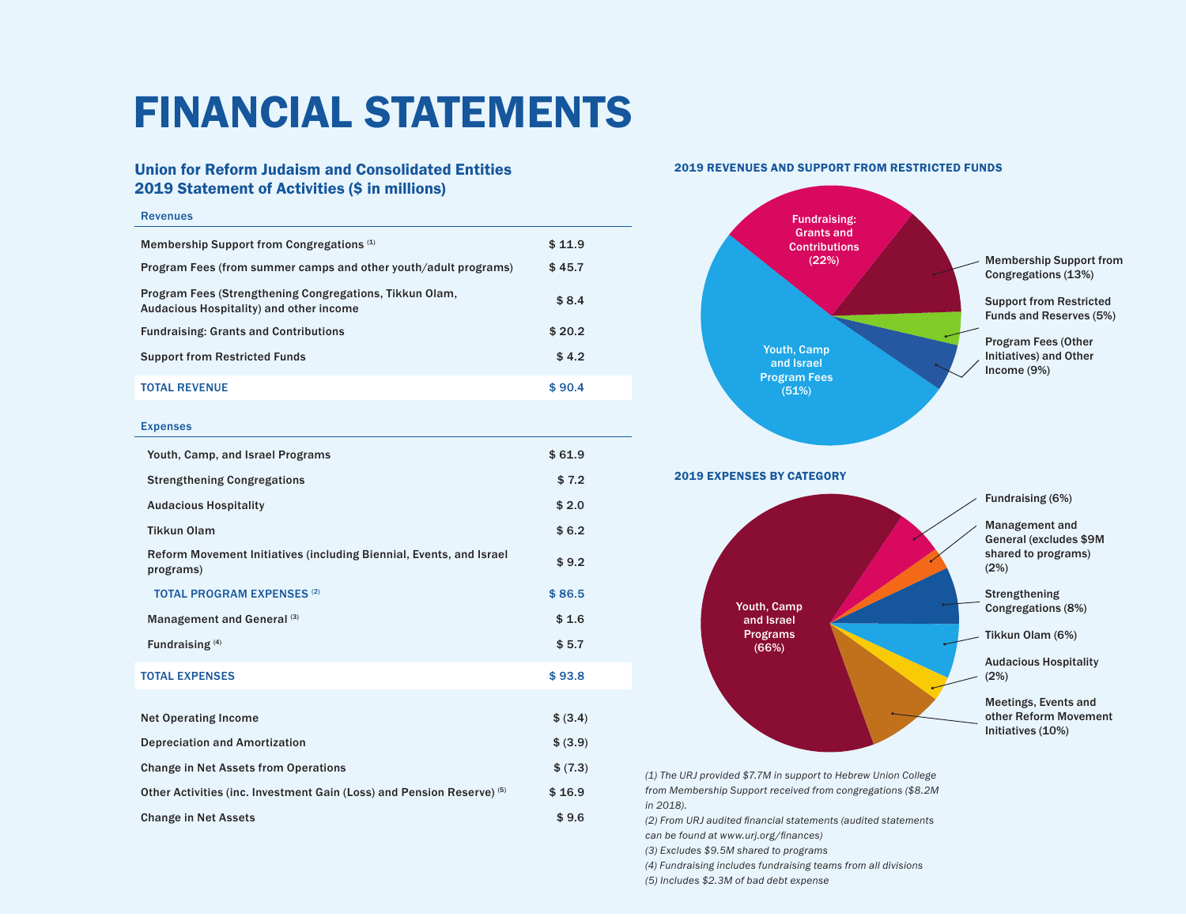## FINANCIAL STATEMENTS

## Union for Reform Judaism and Consolidated Entities 2019 Statement of Activities (\$ in millions)

## Revenues

| Membership Support from Congregations <sup>(1)</sup>                                               | \$11.9 |  |
|----------------------------------------------------------------------------------------------------|--------|--|
| Program Fees (from summer camps and other youth/adult programs)                                    | \$45.7 |  |
| Program Fees (Strengthening Congregations, Tikkun Olam,<br>Audacious Hospitality) and other income | \$8.4  |  |
| <b>Fundraising: Grants and Contributions</b>                                                       | \$20.2 |  |
| <b>Support from Restricted Funds</b>                                                               | \$4.2  |  |
| <b>TOTAL REVENUE</b>                                                                               | \$90.4 |  |
| <b>Expenses</b>                                                                                    |        |  |
| Youth, Camp, and Israel Programs                                                                   | \$61.9 |  |
| <b>Strengthening Congregations</b>                                                                 | \$7.2  |  |
| <b>Audacious Hospitality</b>                                                                       | \$2.0  |  |
| <b>Tikkun Olam</b>                                                                                 | \$6.2  |  |
| Reform Movement Initiatives (including Biennial, Events, and Israel<br>programs)                   | \$9.2  |  |

TOTAL PROGRAM EXPENSES<sup>(2)</sup> \$86.5 Management and General (3)  $$1.6$ 

Fundraising  $^{(4)}$   $$5.7$ TOTAL EXPENSES \$ 93.8

Net Operating Income  $\text{S} (3.4)$ Depreciation and Amortization  $$ (3.9)$ Change in Net Assets from Operations  $$ (7.3)$ Other Activities (inc. Investment Gain (Loss) and Pension Reserve)  $(5)$  \$ 16.9 Change in Net Assets  $\texttt{\$ 9.6}$ 





*(1) The URJ provided \$7.7M in support to Hebrew Union College from Membership Support received from congregations (\$8.2M in 2018).*

*(2) From URJ audited financial statements (audited statements can be found at www.urj.org/finances)*

*(3) Excludes \$9.5M shared to programs* 

*(4) Fundraising includes fundraising teams from all divisions*

*(5) Includes \$2.3M of bad debt expense*